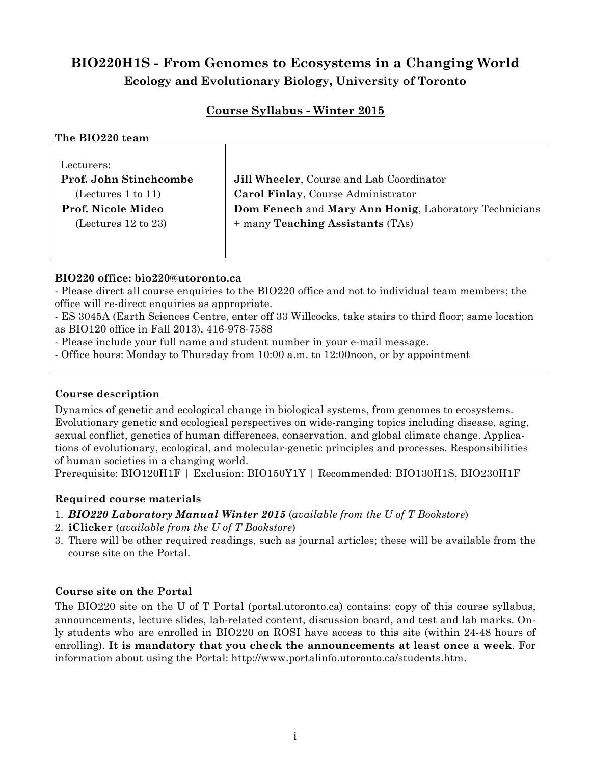# **BIO220H1S - From Genomes to Ecosystems in a Changing World Ecology and Evolutionary Biology, University of Toronto**

# **Course Syllabus - Winter 2015**

#### **The BIO220 team**

| Lecturers:                    |                                                       |
|-------------------------------|-------------------------------------------------------|
| <b>Prof. John Stinchcombe</b> | Jill Wheeler, Course and Lab Coordinator              |
| (Letures 1 to 11)             | Carol Finlay, Course Administrator                    |
| Prof. Nicole Mideo            | Dom Fenech and Mary Ann Honig, Laboratory Technicians |
| (Lectures $12$ to $23$ )      | + many <b>Teaching Assistants</b> (TAs)               |
|                               |                                                       |

#### **BIO220 office: bio220@utoronto.ca**

- Please direct all course enquiries to the BIO220 office and not to individual team members; the office will re-direct enquiries as appropriate.

- ES 3045A (Earth Sciences Centre, enter off 33 Willcocks, take stairs to third floor; same location as BIO120 office in Fall 2013), 416-978-7588

- Please include your full name and student number in your e-mail message.

- Office hours: Monday to Thursday from 10:00 a.m. to 12:00noon, or by appointment

#### **Course description**

Dynamics of genetic and ecological change in biological systems, from genomes to ecosystems. Evolutionary genetic and ecological perspectives on wide-ranging topics including disease, aging, sexual conflict, genetics of human differences, conservation, and global climate change. Applications of evolutionary, ecological, and molecular-genetic principles and processes. Responsibilities of human societies in a changing world.

Prerequisite: BIO120H1F | Exclusion: BIO150Y1Y | Recommended: BIO130H1S, BIO230H1F

#### **Required course materials**

- 1. *BIO220 Laboratory Manual Winter 2015* (*available from the U of T Bookstore*)
- 2. **iClicker** (*available from the U of T Bookstore*)
- 3. There will be other required readings, such as journal articles; these will be available from the course site on the Portal.

#### **Course site on the Portal**

The BIO220 site on the U of T Portal (portal.utoronto.ca) contains: copy of this course syllabus, announcements, lecture slides, lab-related content, discussion board, and test and lab marks. Only students who are enrolled in BIO220 on ROSI have access to this site (within 24-48 hours of enrolling). **It is mandatory that you check the announcements at least once a week**. For information about using the Portal: http://www.portalinfo.utoronto.ca/students.htm.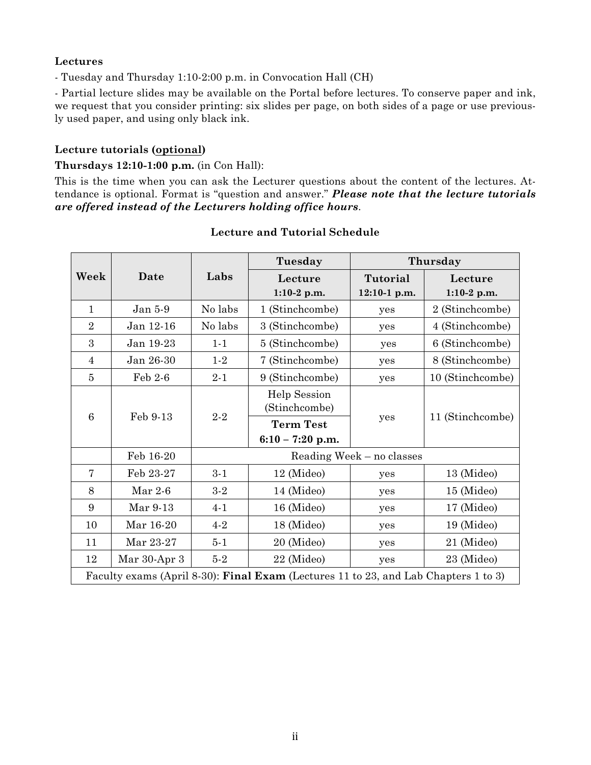# **Lectures**

- Tuesday and Thursday 1:10-2:00 p.m. in Convocation Hall (CH)

- Partial lecture slides may be available on the Portal before lectures. To conserve paper and ink, we request that you consider printing: six slides per page, on both sides of a page or use previously used paper, and using only black ink.

## **Lecture tutorials (optional)**

#### **Thursdays 12:10-1:00 p.m.** (in Con Hall):

This is the time when you can ask the Lecturer questions about the content of the lectures. Attendance is optional. Format is "question and answer." *Please note that the lecture tutorials are offered instead of the Lecturers holding office hours*.

|                                                                                     |              |                           | Tuesday             | Thursday     |                  |  |
|-------------------------------------------------------------------------------------|--------------|---------------------------|---------------------|--------------|------------------|--|
| Week                                                                                | Date         | Labs                      | Lecture             | Tutorial     | Lecture          |  |
|                                                                                     |              |                           | $1:10-2$ p.m.       | 12:10-1 p.m. | $1:10-2$ p.m.    |  |
| $\mathbf{1}$                                                                        | Jan 5-9      | No labs                   | 1 (Stinchcombe)     | yes          | 2 (Stinchcombe)  |  |
| $\overline{2}$                                                                      | Jan 12-16    | No labs                   | 3 (Stinchcombe)     | yes          | 4 (Stinchcombe)  |  |
| 3                                                                                   | Jan 19-23    | $1 - 1$                   | 5 (Stinchcombe)     | yes          | 6 (Stinchcombe)  |  |
| $\overline{4}$                                                                      | Jan 26-30    | $1-2$                     | 7 (Stinchcombe)     | yes          | 8 (Stinchcombe)  |  |
| $\overline{5}$                                                                      | Feb 2-6      | $2 - 1$                   | 9 (Stinchcombe)     | yes          | 10 (Stinchcombe) |  |
| $6\phantom{1}6$                                                                     | Feb 9-13     | $2 - 2$                   | <b>Help Session</b> |              |                  |  |
|                                                                                     |              |                           | (Stinchcombe)       |              | 11 (Stinchcombe) |  |
|                                                                                     |              |                           | <b>Term Test</b>    | yes          |                  |  |
|                                                                                     |              |                           | $6:10 - 7:20$ p.m.  |              |                  |  |
|                                                                                     | Feb 16-20    | Reading Week - no classes |                     |              |                  |  |
| 7                                                                                   | Feb 23-27    | $3 - 1$                   | 12 (Mideo)          | yes          | 13 (Mideo)       |  |
| 8                                                                                   | Mar $2-6$    | $3-2$                     | 14 (Mideo)          | yes          | 15 (Mideo)       |  |
| 9                                                                                   | Mar 9-13     | $4 - 1$                   | 16 (Mideo)          | yes          | 17 (Mideo)       |  |
| 10                                                                                  | Mar 16-20    | $4 - 2$                   | 18 (Mideo)          | yes          | 19 (Mideo)       |  |
| 11                                                                                  | Mar 23-27    | $5 - 1$                   | 20 (Mideo)          | yes          | 21 (Mideo)       |  |
| 12                                                                                  | Mar 30-Apr 3 | $5-2$                     | 22 (Mideo)          | yes          | 23 (Mideo)       |  |
| Faculty exams (April 8-30): Final Exam (Lectures 11 to 23, and Lab Chapters 1 to 3) |              |                           |                     |              |                  |  |

#### **Lecture and Tutorial Schedule**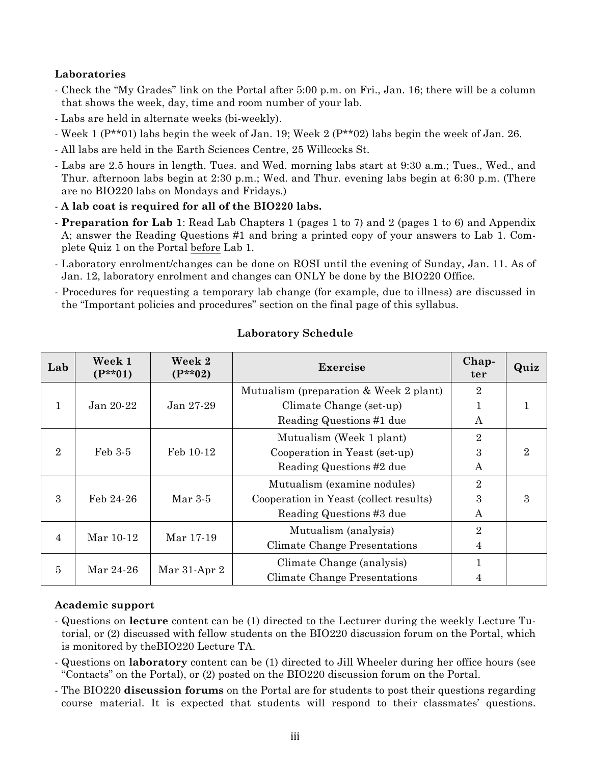# **Laboratories**

- Check the "My Grades" link on the Portal after 5:00 p.m. on Fri., Jan. 16; there will be a column that shows the week, day, time and room number of your lab.
- Labs are held in alternate weeks (bi-weekly).
- Week 1  $(P^{**}01)$  labs begin the week of Jan. 19; Week 2  $(P^{**}02)$  labs begin the week of Jan. 26.
- All labs are held in the Earth Sciences Centre, 25 Willcocks St.
- Labs are 2.5 hours in length. Tues. and Wed. morning labs start at 9:30 a.m.; Tues., Wed., and Thur. afternoon labs begin at 2:30 p.m.; Wed. and Thur. evening labs begin at 6:30 p.m. (There are no BIO220 labs on Mondays and Fridays.)
- **A lab coat is required for all of the BIO220 labs.**
- **Preparation for Lab 1**: Read Lab Chapters 1 (pages 1 to 7) and 2 (pages 1 to 6) and Appendix A; answer the Reading Questions #1 and bring a printed copy of your answers to Lab 1. Complete Quiz 1 on the Portal before Lab 1.
- Laboratory enrolment/changes can be done on ROSI until the evening of Sunday, Jan. 11. As of Jan. 12, laboratory enrolment and changes can ONLY be done by the BIO220 Office.
- Procedures for requesting a temporary lab change (for example, due to illness) are discussed in the "Important policies and procedures" section on the final page of this syllabus.

| Lab            | Week 1<br>$(P**01)$ | Week 2<br>$(P**02)$ | Exercise                               | Chap-<br>ter     | Quiz                        |
|----------------|---------------------|---------------------|----------------------------------------|------------------|-----------------------------|
|                |                     |                     | Mutualism (preparation & Week 2 plant) | $\overline{2}$   |                             |
|                | Jan 20-22           | Jan 27-29           | Climate Change (set-up)                |                  |                             |
|                |                     |                     | Reading Questions #1 due               | A                |                             |
|                |                     |                     | Mutualism (Week 1 plant)               | $\overline{2}$   |                             |
| $\overline{2}$ | Feb 3-5             | Feb 10-12           | Cooperation in Yeast (set-up)          | 3                | $\mathcal{D}_{\mathcal{L}}$ |
|                |                     |                     | Reading Questions #2 due               | $\boldsymbol{A}$ |                             |
|                |                     |                     | Mutualism (examine nodules)            | $\overline{2}$   |                             |
| 3              | Feb 24-26           | $Mar 3-5$           | Cooperation in Yeast (collect results) | 3                | 3                           |
|                |                     |                     | Reading Questions #3 due               | $\boldsymbol{A}$ |                             |
| 4              | Mar 10-12           | Mar 17-19           | Mutualism (analysis)                   | $\overline{2}$   |                             |
|                |                     |                     | Climate Change Presentations           | $\overline{4}$   |                             |
| 5              | Mar 24-26           | Mar 31-Apr 2        | Climate Change (analysis)              | 1                |                             |
|                |                     |                     | Climate Change Presentations           | 4                |                             |

# **Laboratory Schedule**

#### **Academic support**

- Questions on **lecture** content can be (1) directed to the Lecturer during the weekly Lecture Tutorial, or (2) discussed with fellow students on the BIO220 discussion forum on the Portal, which is monitored by theBIO220 Lecture TA.
- Questions on **laboratory** content can be (1) directed to Jill Wheeler during her office hours (see "Contacts" on the Portal), or (2) posted on the BIO220 discussion forum on the Portal.
- The BIO220 **discussion forums** on the Portal are for students to post their questions regarding course material. It is expected that students will respond to their classmates' questions.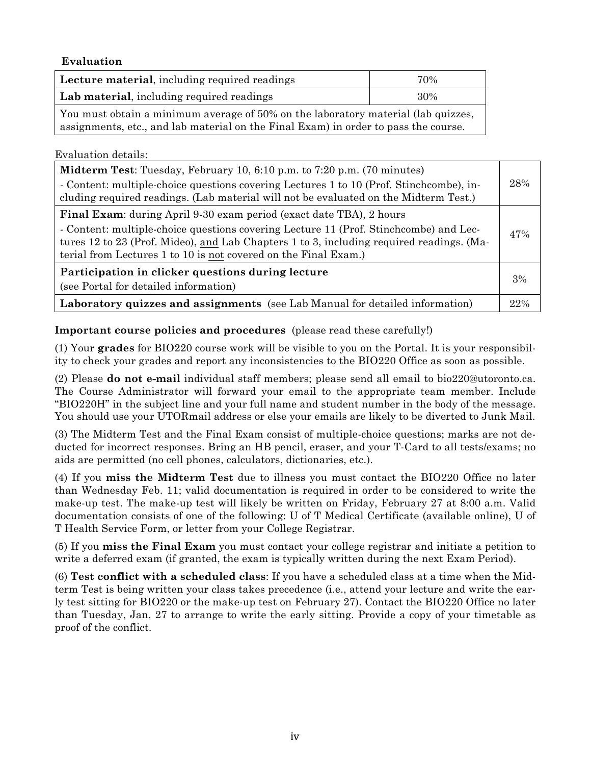## **Evaluation**

| Lecture material, including required readings                                       | 70% |  |
|-------------------------------------------------------------------------------------|-----|--|
| Lab material, including required readings                                           | 30% |  |
| You must obtain a minimum average of 50% on the laboratory material (lab quizzes,   |     |  |
| assignments, etc., and lab material on the Final Exam) in order to pass the course. |     |  |

#### Evaluation details:

| <b>Midterm Test:</b> Tuesday, February 10, 6:10 p.m. to 7:20 p.m. (70 minutes)<br>- Content: multiple-choice questions covering Lectures 1 to 10 (Prof. Stinchcombe), in-<br>cluding required readings. (Lab material will not be evaluated on the Midterm Test.)                                                           | 28% |
|-----------------------------------------------------------------------------------------------------------------------------------------------------------------------------------------------------------------------------------------------------------------------------------------------------------------------------|-----|
| Final Exam: during April 9-30 exam period (exact date TBA), 2 hours<br>- Content: multiple-choice questions covering Lecture 11 (Prof. Stinchcombe) and Lec-<br>tures 12 to 23 (Prof. Mideo), and Lab Chapters 1 to 3, including required readings. (Ma-<br>terial from Lectures 1 to 10 is not covered on the Final Exam.) | 47% |
| Participation in clicker questions during lecture<br>(see Portal for detailed information)                                                                                                                                                                                                                                  | 3%  |
| Laboratory quizzes and assignments (see Lab Manual for detailed information)                                                                                                                                                                                                                                                | 22% |

## **Important course policies and procedures** (please read these carefully!)

(1) Your **grades** for BIO220 course work will be visible to you on the Portal. It is your responsibility to check your grades and report any inconsistencies to the BIO220 Office as soon as possible.

(2) Please **do not e-mail** individual staff members; please send all email to bio220@utoronto.ca. The Course Administrator will forward your email to the appropriate team member. Include "BIO220H" in the subject line and your full name and student number in the body of the message. You should use your UTORmail address or else your emails are likely to be diverted to Junk Mail.

(3) The Midterm Test and the Final Exam consist of multiple-choice questions; marks are not deducted for incorrect responses. Bring an HB pencil, eraser, and your T-Card to all tests/exams; no aids are permitted (no cell phones, calculators, dictionaries, etc.).

(4) If you **miss the Midterm Test** due to illness you must contact the BIO220 Office no later than Wednesday Feb. 11; valid documentation is required in order to be considered to write the make-up test. The make-up test will likely be written on Friday, February 27 at 8:00 a.m. Valid documentation consists of one of the following: U of T Medical Certificate (available online), U of T Health Service Form, or letter from your College Registrar.

(5) If you **miss the Final Exam** you must contact your college registrar and initiate a petition to write a deferred exam (if granted, the exam is typically written during the next Exam Period).

(6) **Test conflict with a scheduled class**: If you have a scheduled class at a time when the Midterm Test is being written your class takes precedence (i.e., attend your lecture and write the early test sitting for BIO220 or the make-up test on February 27). Contact the BIO220 Office no later than Tuesday, Jan. 27 to arrange to write the early sitting. Provide a copy of your timetable as proof of the conflict.